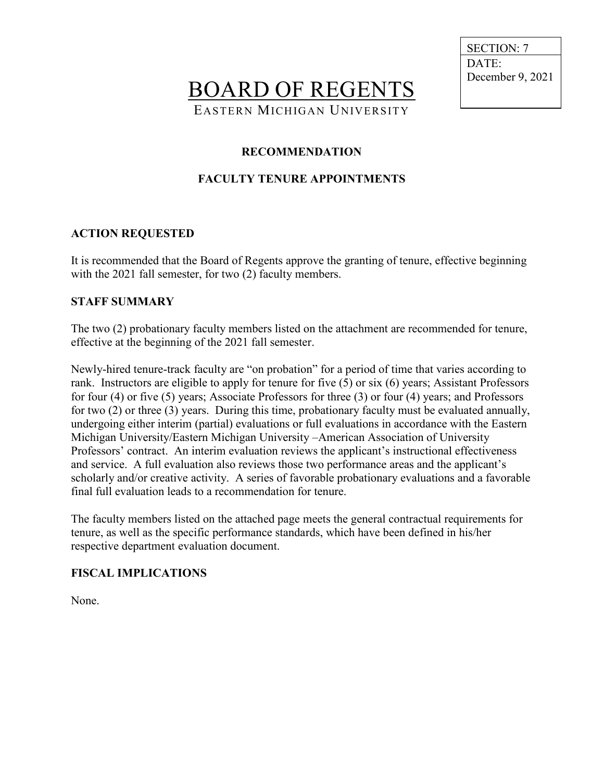BOARD OF REGENTS EASTERN MICHIGAN UNIVERSITY

 SECTION: 7 DATE: December 9, 2021

### **RECOMMENDATION**

## **FACULTY TENURE APPOINTMENTS**

#### **ACTION REQUESTED**

It is recommended that the Board of Regents approve the granting of tenure, effective beginning with the 2021 fall semester, for two (2) faculty members.

#### **STAFF SUMMARY**

The two (2) probationary faculty members listed on the attachment are recommended for tenure, effective at the beginning of the 2021 fall semester.

Newly-hired tenure-track faculty are "on probation" for a period of time that varies according to rank. Instructors are eligible to apply for tenure for five (5) or six (6) years; Assistant Professors for four (4) or five (5) years; Associate Professors for three (3) or four (4) years; and Professors for two (2) or three (3) years. During this time, probationary faculty must be evaluated annually, undergoing either interim (partial) evaluations or full evaluations in accordance with the Eastern Michigan University/Eastern Michigan University –American Association of University Professors' contract. An interim evaluation reviews the applicant's instructional effectiveness and service. A full evaluation also reviews those two performance areas and the applicant's scholarly and/or creative activity. A series of favorable probationary evaluations and a favorable final full evaluation leads to a recommendation for tenure.

The faculty members listed on the attached page meets the general contractual requirements for tenure, as well as the specific performance standards, which have been defined in his/her respective department evaluation document.

#### **FISCAL IMPLICATIONS**

None.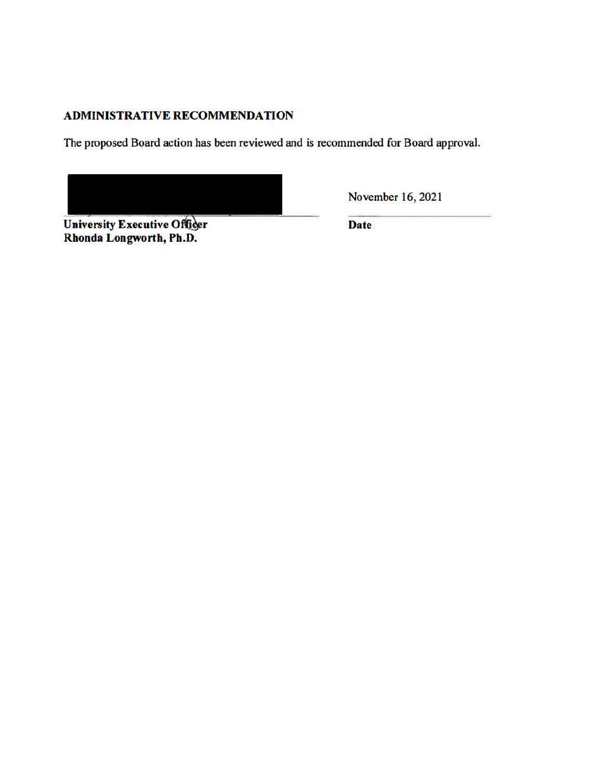## **ADMINISTRATIVE RECOMMENDATION**

The proposed Board action has been reviewed and is recommended for Board approval.

University Executive Officer<br>Rhonda Longworth, Ph.D.

November 16, 2021

**Date**